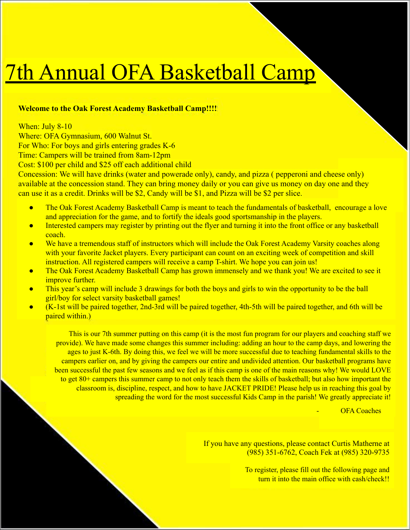## 7th Annual OFA Basketball Camp

## **Welcome to the Oak Forest Academy Basketball Camp!!!!**

When: July 8-10 Where: OFA Gymnasium, 600 Walnut St. For Who: For boys and girls entering grades K-6

Time: Campers will be trained from 8am-12pm

Cost: \$100 per child and \$25 off each additional child

Concession: We will have drinks (water and powerade only), candy, and pizza ( pepperoni and cheese only) available at the concession stand. They can bring money daily or you can give us money on day one and they can use it as a credit. Drinks will be \$2, Candy will be \$1, and Pizza will be \$2 per slice.

- The Oak Forest Academy Basketball Camp is meant to teach the fundamentals of basketball, encourage a love and appreciation for the game, and to fortify the ideals good sportsmanship in the players.
- Interested campers may register by printing out the flyer and turning it into the front office or any basketball coach.
- We have a tremendous staff of instructors which will include the Oak Forest Academy Varsity coaches along with your favorite Jacket players. Every participant can count on an exciting week of competition and skill instruction. All registered campers will receive a camp T-shirt. We hope you can join us!
- The Oak Forest Academy Basketball Camp has grown immensely and we thank you! We are excited to see it improve further.
- This year's camp will include 3 drawings for both the boys and girls to win the opportunity to be the ball girl/boy for select varsity basketball games!
- (K-1st will be paired together, 2nd-3rd will be paired together, 4th-5th will be paired together, and 6th will be paired within.)

This is our 7th summer putting on this camp (it is the most fun program for our players and coaching staff we provide). We have made some changes this summer including: adding an hour to the camp days, and lowering the ages to just K-6th. By doing this, we feel we will be more successful due to teaching fundamental skills to the campers earlier on, and by giving the campers our entire and undivided attention. Our basketball programs have been successful the past few seasons and we feel as if this camp is one of the main reasons why! We would LOVE to get 80+ campers this summer camp to not only teach them the skills of basketball; but also how important the classroom is, discipline, respect, and how to have JACKET PRIDE! Please help us in reaching this goal by spreading the word for the most successful Kids Camp in the parish! We greatly appreciate it!

**OFA Coaches** 

If you have any questions, please contact Curtis Matherne at (985) 351-6762, Coach Fek at (985) 320-9735

> To register, please fill out the following page and turn it into the main office with cash/check!!